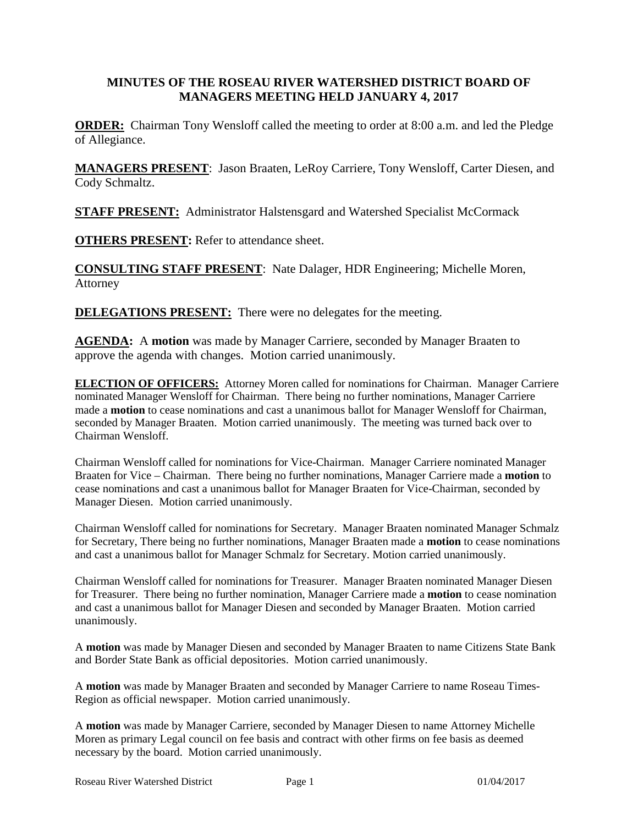#### **MINUTES OF THE ROSEAU RIVER WATERSHED DISTRICT BOARD OF MANAGERS MEETING HELD JANUARY 4, 2017**

**ORDER:** Chairman Tony Wensloff called the meeting to order at 8:00 a.m. and led the Pledge of Allegiance.

**MANAGERS PRESENT**: Jason Braaten, LeRoy Carriere, Tony Wensloff, Carter Diesen, and Cody Schmaltz.

**STAFF PRESENT:** Administrator Halstensgard and Watershed Specialist McCormack

**OTHERS PRESENT:** Refer to attendance sheet.

**CONSULTING STAFF PRESENT**: Nate Dalager, HDR Engineering; Michelle Moren, Attorney

**DELEGATIONS PRESENT:** There were no delegates for the meeting.

**AGENDA:** A **motion** was made by Manager Carriere, seconded by Manager Braaten to approve the agenda with changes. Motion carried unanimously.

**ELECTION OF OFFICERS:** Attorney Moren called for nominations for Chairman. Manager Carriere nominated Manager Wensloff for Chairman. There being no further nominations, Manager Carriere made a **motion** to cease nominations and cast a unanimous ballot for Manager Wensloff for Chairman, seconded by Manager Braaten. Motion carried unanimously. The meeting was turned back over to Chairman Wensloff.

Chairman Wensloff called for nominations for Vice-Chairman. Manager Carriere nominated Manager Braaten for Vice – Chairman. There being no further nominations, Manager Carriere made a **motion** to cease nominations and cast a unanimous ballot for Manager Braaten for Vice-Chairman, seconded by Manager Diesen. Motion carried unanimously.

Chairman Wensloff called for nominations for Secretary. Manager Braaten nominated Manager Schmalz for Secretary, There being no further nominations, Manager Braaten made a **motion** to cease nominations and cast a unanimous ballot for Manager Schmalz for Secretary. Motion carried unanimously.

Chairman Wensloff called for nominations for Treasurer. Manager Braaten nominated Manager Diesen for Treasurer. There being no further nomination, Manager Carriere made a **motion** to cease nomination and cast a unanimous ballot for Manager Diesen and seconded by Manager Braaten. Motion carried unanimously.

A **motion** was made by Manager Diesen and seconded by Manager Braaten to name Citizens State Bank and Border State Bank as official depositories. Motion carried unanimously.

A **motion** was made by Manager Braaten and seconded by Manager Carriere to name Roseau Times-Region as official newspaper. Motion carried unanimously.

A **motion** was made by Manager Carriere, seconded by Manager Diesen to name Attorney Michelle Moren as primary Legal council on fee basis and contract with other firms on fee basis as deemed necessary by the board. Motion carried unanimously.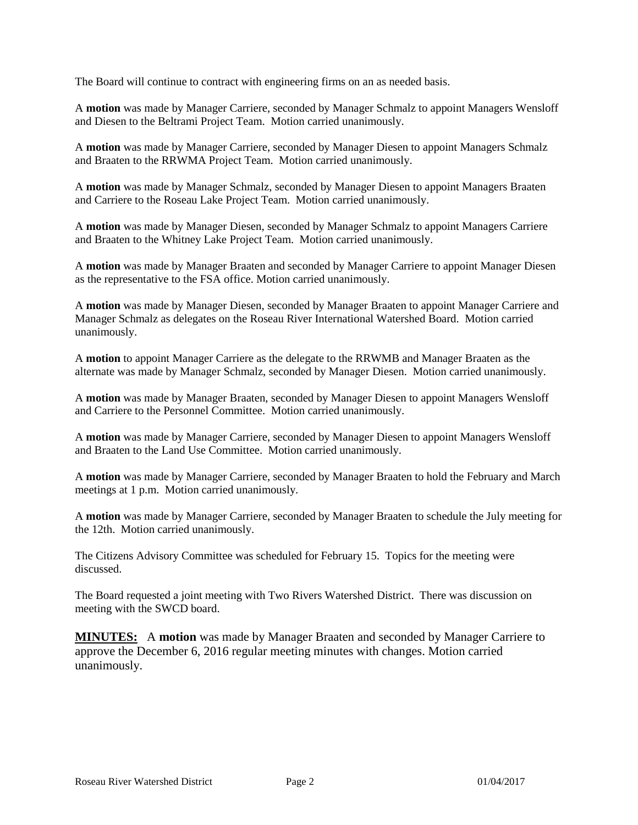The Board will continue to contract with engineering firms on an as needed basis.

A **motion** was made by Manager Carriere, seconded by Manager Schmalz to appoint Managers Wensloff and Diesen to the Beltrami Project Team. Motion carried unanimously.

A **motion** was made by Manager Carriere, seconded by Manager Diesen to appoint Managers Schmalz and Braaten to the RRWMA Project Team. Motion carried unanimously.

A **motion** was made by Manager Schmalz, seconded by Manager Diesen to appoint Managers Braaten and Carriere to the Roseau Lake Project Team. Motion carried unanimously.

A **motion** was made by Manager Diesen, seconded by Manager Schmalz to appoint Managers Carriere and Braaten to the Whitney Lake Project Team. Motion carried unanimously.

A **motion** was made by Manager Braaten and seconded by Manager Carriere to appoint Manager Diesen as the representative to the FSA office. Motion carried unanimously.

A **motion** was made by Manager Diesen, seconded by Manager Braaten to appoint Manager Carriere and Manager Schmalz as delegates on the Roseau River International Watershed Board. Motion carried unanimously.

A **motion** to appoint Manager Carriere as the delegate to the RRWMB and Manager Braaten as the alternate was made by Manager Schmalz, seconded by Manager Diesen. Motion carried unanimously.

A **motion** was made by Manager Braaten, seconded by Manager Diesen to appoint Managers Wensloff and Carriere to the Personnel Committee. Motion carried unanimously.

A **motion** was made by Manager Carriere, seconded by Manager Diesen to appoint Managers Wensloff and Braaten to the Land Use Committee. Motion carried unanimously.

A **motion** was made by Manager Carriere, seconded by Manager Braaten to hold the February and March meetings at 1 p.m. Motion carried unanimously.

A **motion** was made by Manager Carriere, seconded by Manager Braaten to schedule the July meeting for the 12th. Motion carried unanimously.

The Citizens Advisory Committee was scheduled for February 15. Topics for the meeting were discussed.

The Board requested a joint meeting with Two Rivers Watershed District. There was discussion on meeting with the SWCD board.

**MINUTES:** A **motion** was made by Manager Braaten and seconded by Manager Carriere to approve the December 6, 2016 regular meeting minutes with changes. Motion carried unanimously.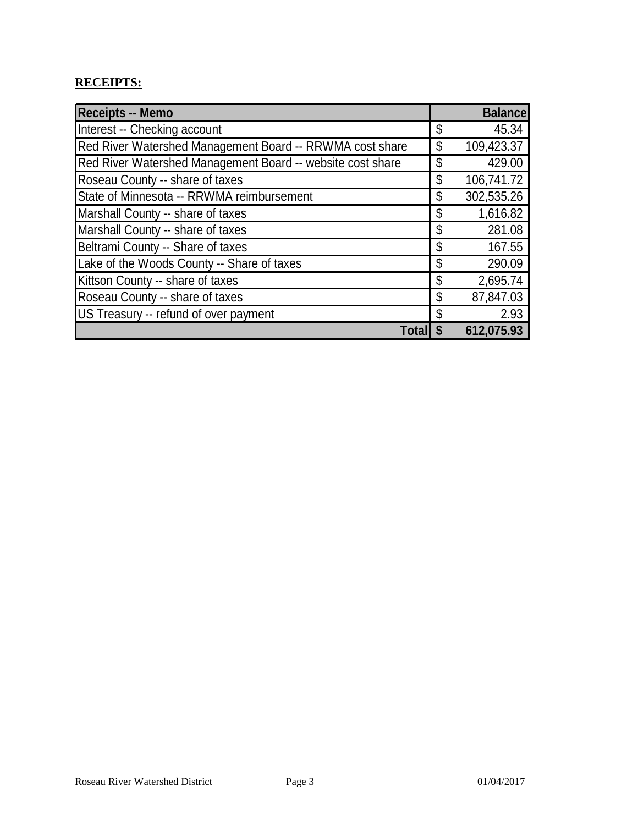# **RECEIPTS:**

| <b>Receipts -- Memo</b>                                    | <b>Balance</b>   |
|------------------------------------------------------------|------------------|
| Interest -- Checking account                               | \$<br>45.34      |
| Red River Watershed Management Board -- RRWMA cost share   | \$<br>109,423.37 |
| Red River Watershed Management Board -- website cost share | \$<br>429.00     |
| Roseau County -- share of taxes                            | \$<br>106,741.72 |
| State of Minnesota -- RRWMA reimbursement                  | \$<br>302,535.26 |
| Marshall County -- share of taxes                          | \$<br>1,616.82   |
| Marshall County -- share of taxes                          | \$<br>281.08     |
| Beltrami County -- Share of taxes                          | \$<br>167.55     |
| Lake of the Woods County -- Share of taxes                 | \$<br>290.09     |
| Kittson County -- share of taxes                           | \$<br>2,695.74   |
| Roseau County -- share of taxes                            | \$<br>87,847.03  |
| US Treasury -- refund of over payment                      | \$<br>2.93       |
| Total                                                      | 612,075.93       |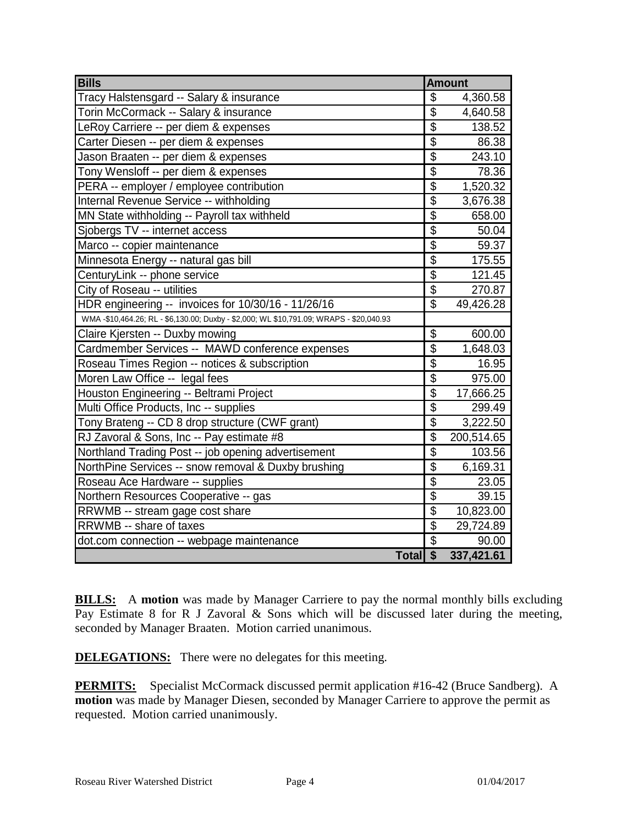| <b>Bills</b>                                                                           | <b>Amount</b>             |            |
|----------------------------------------------------------------------------------------|---------------------------|------------|
| Tracy Halstensgard -- Salary & insurance                                               | \$                        | 4,360.58   |
| Torin McCormack -- Salary & insurance                                                  | $\overline{\mathcal{S}}$  | 4,640.58   |
| LeRoy Carriere -- per diem & expenses                                                  | $\overline{\$}$           | 138.52     |
| Carter Diesen -- per diem & expenses                                                   | $\overline{\$}$           | 86.38      |
| Jason Braaten -- per diem & expenses                                                   | $\overline{\$}$           | 243.10     |
| Tony Wensloff -- per diem & expenses                                                   | $\overline{\$}$           | 78.36      |
| PERA -- employer / employee contribution                                               | $\overline{\$}$           | 1,520.32   |
| Internal Revenue Service -- withholding                                                | $\overline{\$}$           | 3,676.38   |
| MN State withholding -- Payroll tax withheld                                           | $\overline{\$}$           | 658.00     |
| Sjobergs TV -- internet access                                                         | $\overline{\mathfrak{s}}$ | 50.04      |
| Marco -- copier maintenance                                                            | $\overline{\$}$           | 59.37      |
| Minnesota Energy -- natural gas bill                                                   | $\overline{\$}$           | 175.55     |
| CenturyLink -- phone service                                                           | $\overline{\$}$           | 121.45     |
| City of Roseau -- utilities                                                            | $\overline{\$}$           | 270.87     |
| HDR engineering -- invoices for 10/30/16 - 11/26/16                                    | $\overline{\$}$           | 49,426.28  |
| WMA-\$10,464.26; RL - \$6,130.00; Duxby - \$2,000; WL \$10,791.09; WRAPS - \$20,040.93 |                           |            |
| Claire Kjersten -- Duxby mowing                                                        | $\overline{\mathcal{S}}$  | 600.00     |
| Cardmember Services -- MAWD conference expenses                                        | $\overline{\$}$           | 1,648.03   |
| Roseau Times Region -- notices & subscription                                          | $\overline{\mathfrak{s}}$ | 16.95      |
| Moren Law Office -- legal fees                                                         | $\overline{\$}$           | 975.00     |
| Houston Engineering -- Beltrami Project                                                | $\overline{\$}$           | 17,666.25  |
| Multi Office Products, Inc -- supplies                                                 | $\overline{\$}$           | 299.49     |
| Tony Brateng -- CD 8 drop structure (CWF grant)                                        | $\overline{\$}$           | 3,222.50   |
| RJ Zavoral & Sons, Inc -- Pay estimate #8                                              | $\overline{\$}$           | 200,514.65 |
| Northland Trading Post -- job opening advertisement                                    | $\overline{\$}$           | 103.56     |
| NorthPine Services -- snow removal & Duxby brushing                                    | $\overline{\$}$           | 6,169.31   |
| Roseau Ace Hardware -- supplies                                                        | $\overline{\$}$           | 23.05      |
| Northern Resources Cooperative -- gas                                                  | $\overline{\$}$           | 39.15      |
| RRWMB -- stream gage cost share                                                        | $\overline{\$}$           | 10,823.00  |
| RRWMB -- share of taxes                                                                | $\overline{\$}$           | 29,724.89  |
| dot.com connection -- webpage maintenance                                              | $\overline{\mathcal{S}}$  | 90.00      |
| Total \$                                                                               |                           | 337,421.61 |

**BILLS:** A motion was made by Manager Carriere to pay the normal monthly bills excluding Pay Estimate 8 for R J Zavoral & Sons which will be discussed later during the meeting, seconded by Manager Braaten. Motion carried unanimous.

**DELEGATIONS:** There were no delegates for this meeting.

**PERMITS:** Specialist McCormack discussed permit application #16-42 (Bruce Sandberg). A **motion** was made by Manager Diesen, seconded by Manager Carriere to approve the permit as requested. Motion carried unanimously.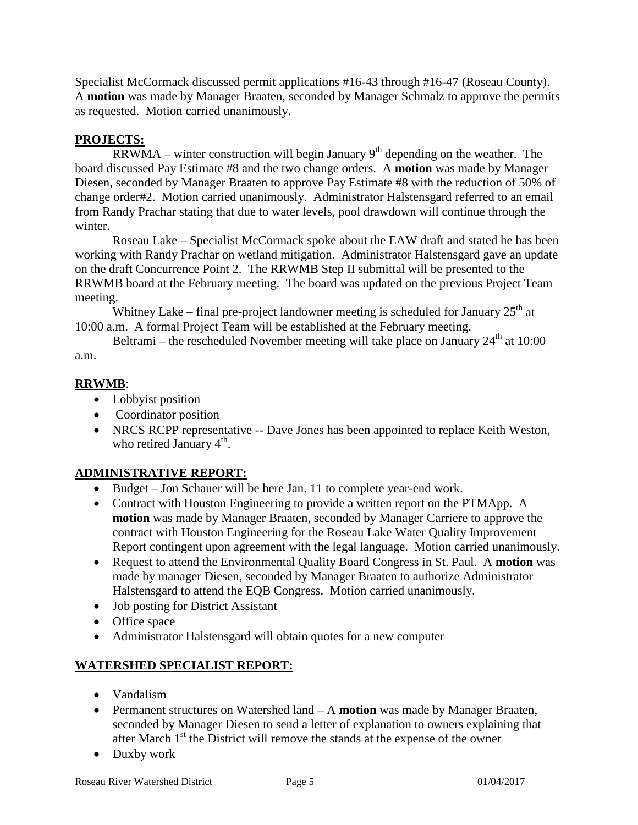Specialist McCormack discussed permit applications #16-43 through #16-47 (Roseau County). A **motion** was made by Manager Braaten, seconded by Manager Schmalz to approve the permits as requested. Motion carried unanimously.

## **PROJECTS:**

 $\overline{RRW}MA$  – winter construction will begin January 9<sup>th</sup> depending on the weather. The board discussed Pay Estimate #8 and the two change orders. A **motion** was made by Manager Diesen, seconded by Manager Braaten to approve Pay Estimate #8 with the reduction of 50% of change order#2. Motion carried unanimously. Administrator Halstensgard referred to an email from Randy Prachar stating that due to water levels, pool drawdown will continue through the winter.

Roseau Lake – Specialist McCormack spoke about the EAW draft and stated he has been working with Randy Prachar on wetland mitigation. Administrator Halstensgard gave an update on the draft Concurrence Point 2. The RRWMB Step II submittal will be presented to the RRWMB board at the February meeting. The board was updated on the previous Project Team meeting.

Whitney Lake – final pre-project landowner meeting is scheduled for January  $25<sup>th</sup>$  at 10:00 a.m. A formal Project Team will be established at the February meeting.

Beltrami – the rescheduled November meeting will take place on January  $24<sup>th</sup>$  at 10:00 a.m.

## **RRWMB**:

- Lobbyist position
- Coordinator position
- NRCS RCPP representative -- Dave Jones has been appointed to replace Keith Weston, who retired January  $4<sup>th</sup>$ .

## **ADMINISTRATIVE REPORT:**

- Budget Jon Schauer will be here Jan. 11 to complete year-end work.
- Contract with Houston Engineering to provide a written report on the PTMApp. A **motion** was made by Manager Braaten, seconded by Manager Carriere to approve the contract with Houston Engineering for the Roseau Lake Water Quality Improvement Report contingent upon agreement with the legal language. Motion carried unanimously.
- Request to attend the Environmental Quality Board Congress in St. Paul. A **motion** was made by manager Diesen, seconded by Manager Braaten to authorize Administrator Halstensgard to attend the EQB Congress. Motion carried unanimously.
- Job posting for District Assistant
- Office space
- Administrator Halstensgard will obtain quotes for a new computer

# **WATERSHED SPECIALIST REPORT:**

- Vandalism
- Permanent structures on Watershed land A **motion** was made by Manager Braaten, seconded by Manager Diesen to send a letter of explanation to owners explaining that after March  $1<sup>st</sup>$  the District will remove the stands at the expense of the owner
- Duxby work